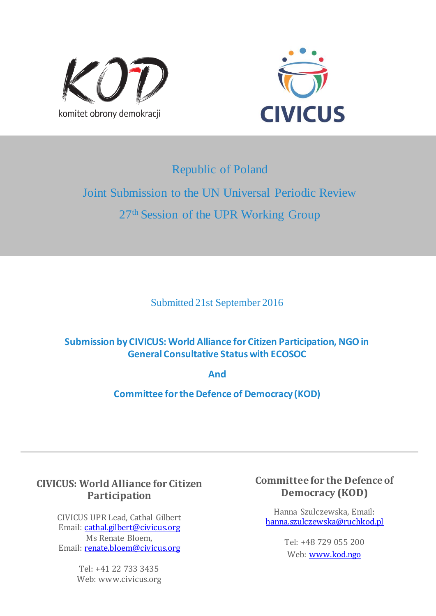



# Republic of Poland

# Joint Submission to the UN Universal Periodic Review 27<sup>th</sup> Session of the UPR Working Group

Submitted 21st September 2016

# **Submission by CIVICUS: World Alliance for Citizen Participation, NGO in General Consultative Status with ECOSOC**

**And**

**Committee for the Defence of Democracy (KOD)**

# **CIVICUS: World Alliance for Citizen Participation**

CIVICUS UPR Lead, Cathal Gilbert Email: cathal.gilbert@civicus.org Ms Renate Bloem, Email: renate.bloem@civicus.org

> Tel: +41 22 733 3435 Web: www.civicus.org

# **Committee for the Defence of Democracy (KOD)**

Hanna Szulczewska, Email: hanna.szulczewska@ruchkod.pl

> Tel: +48 729 055 200 Web: www.kod.ngo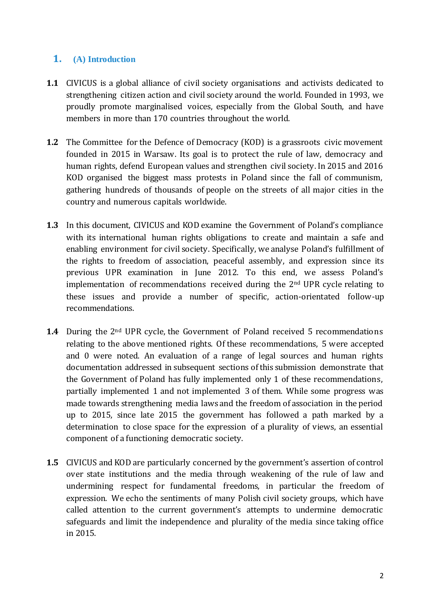### **1. (A) Introduction**

- **1.1** CIVICUS is a global alliance of civil society organisations and activists dedicated to strengthening citizen action and civil society around the world. Founded in 1993, we proudly promote marginalised voices, especially from the Global South, and have members in more than 170 countries throughout the world.
- **1.2** The Committee for the Defence of Democracy (KOD) is a grassroots civic movement founded in 2015 in Warsaw. Its goal is to protect the rule of law, democracy and human rights, defend European values and strengthen civil society. In 2015 and 2016 KOD organised the biggest mass protests in Poland since the fall of communism, gathering hundreds of thousands of people on the streets of all major cities in the country and numerous capitals worldwide.
- **1.3** In this document, CIVICUS and KOD examine the Government of Poland's compliance with its international human rights obligations to create and maintain a safe and enabling environment for civil society. Specifically, we analyse Poland's fulfillment of the rights to freedom of association, peaceful assembly, and expression since its previous UPR examination in June 2012. To this end, we assess Poland's implementation of recommendations received during the 2nd UPR cycle relating to these issues and provide a number of specific, action-orientated follow-up recommendations.
- **1.4** During the 2<sup>nd</sup> UPR cycle, the Government of Poland received 5 recommendations relating to the above mentioned rights. Of these recommendations, 5 were accepted and 0 were noted. An evaluation of a range of legal sources and human rights documentation addressed in subsequent sections of this submission demonstrate that the Government of Poland has fully implemented only 1 of these recommendations, partially implemented 1 and not implemented 3 of them. While some progress was made towards strengthening media laws and the freedom of association in the period up to 2015, since late 2015 the government has followed a path marked by a determination to close space for the expression of a plurality of views, an essential component of a functioning democratic society.
- **1.5** CIVICUS and KOD are particularly concerned by the government's assertion of control over state institutions and the media through weakening of the rule of law and undermining respect for fundamental freedoms, in particular the freedom of expression. We echo the sentiments of many Polish civil society groups, which have called attention to the current government's attempts to undermine democratic safeguards and limit the independence and plurality of the media since taking office in 2015.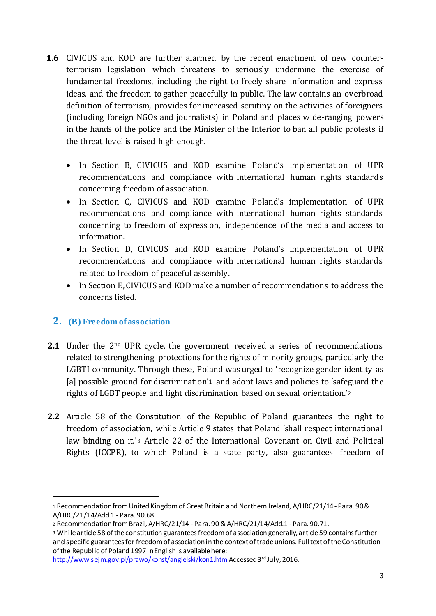- **1.6** CIVICUS and KOD are further alarmed by the recent enactment of new counterterrorism legislation which threatens to seriously undermine the exercise of fundamental freedoms, including the right to freely share information and express ideas, and the freedom to gather peacefully in public. The law contains an overbroad definition of terrorism, provides for increased scrutiny on the activities of foreigners (including foreign NGOs and journalists) in Poland and places wide-ranging powers in the hands of the police and the Minister of the Interior to ban all public protests if the threat level is raised high enough.
	- In Section B, CIVICUS and KOD examine Poland's implementation of UPR recommendations and compliance with international human rights standards concerning freedom of association.
	- In Section C, CIVICUS and KOD examine Poland's implementation of UPR recommendations and compliance with international human rights standards concerning to freedom of expression, independence of the media and access to information.
	- In Section D, CIVICUS and KOD examine Poland's implementation of UPR recommendations and compliance with international human rights standards related to freedom of peaceful assembly.
	- In Section E, CIVICUS and KOD make a number of recommendations to address the concerns listed.

## **2. (B) Freedom of association**

- **2.1** Under the 2<sup>nd</sup> UPR cycle, the government received a series of recommendations related to strengthening protections for the rights of minority groups, particularly the LGBTI community. Through these, Poland was urged to 'recognize gender identity as [a] possible ground for discrimination'<sup>1</sup> and adopt laws and policies to 'safeguard the rights of LGBT people and fight discrimination based on sexual orientation.'<sup>2</sup>
- **2.2** Article 58 of the Constitution of the Republic of Poland guarantees the right to freedom of association, while Article 9 states that Poland 'shall respect international law binding on it.'<sup>3</sup> Article 22 of the International Covenant on Civil and Political Rights (ICCPR), to which Poland is a state party, also guarantees freedom of

<sup>1</sup> Recommendation from United Kingdom of Great Britain and Northern Ireland, A/HRC/21/14 - Para. 90 & A/HRC/21/14/Add.1 - Para. 90.68.

<sup>2</sup> Recommendation from Brazil, A/HRC/21/14 - Para. 90 & A/HRC/21/14/Add.1 - Para. 90.71.

<sup>3</sup> While article 58 of the constitution guarantees freedom of association generally, article 59 contains further and specific guarantees for freedom of association in the context of trade unions. Full text of the Constitution of the Republic of Poland 1997 in English is available here:

http://www.sejm.gov.pl/prawo/konst/angielski/kon1.htm Accessed 3rd July, 2016.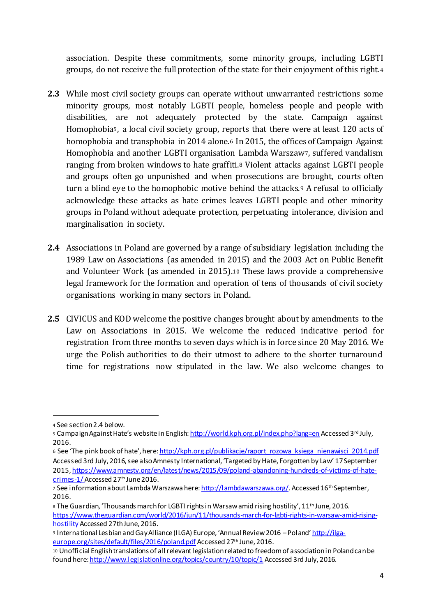association. Despite these commitments, some minority groups, including LGBTI groups, do not receive the full protection of the state for their enjoyment of this right.<sup>4</sup>

- **2.3** While most civil society groups can operate without unwarranted restrictions some minority groups, most notably LGBTI people, homeless people and people with disabilities, are not adequately protected by the state. Campaign against Homophobia5, a local civil society group, reports that there were at least 120 acts of homophobia and transphobia in 2014 alone.<sup>6</sup> In 2015, the offices of Campaign Against Homophobia and another LGBTI organisation Lambda Warszaw7, suffered vandalism ranging from broken windows to hate graffiti.<sup>8</sup> Violent attacks against LGBTI people and groups often go unpunished and when prosecutions are brought, courts often turn a blind eye to the homophobic motive behind the attacks.<sup>9</sup> A refusal to officially acknowledge these attacks as hate crimes leaves LGBTI people and other minority groups in Poland without adequate protection, perpetuating intolerance, division and marginalisation in society.
- **2.4** Associations in Poland are governed by a range of subsidiary legislation including the 1989 Law on Associations (as amended in 2015) and the 2003 Act on Public Benefit and Volunteer Work (as amended in 2015).<sup>10</sup> These laws provide a comprehensive legal framework for the formation and operation of tens of thousands of civil society organisations working in many sectors in Poland.
- **2.5** CIVICUS and KOD welcome the positive changes brought about by amendments to the Law on Associations in 2015. We welcome the reduced indicative period for registration from three months to seven days which is in force since 20 May 2016. We urge the Polish authorities to do their utmost to adhere to the shorter turnaround time for registrations now stipulated in the law. We also welcome changes to

<sup>4</sup> See section 2.4 below.

<sup>5</sup> Campaign Against Hate's website in English: http://world.kph.org.pl/index.php?lang=en Accessed 3rd July, 2016.

<sup>6</sup> See 'The pink book of hate', here: http://kph.org.pl/publikacje/raport\_rozowa\_ksiega\_nienawisci\_2014.pdf Accessed 3rd July, 2016, see also Amnesty International, 'Targeted by Hate, Forgotten by Law' 17 September 2015, https://www.amnesty.org/en/latest/news/2015/09/poland-abandoning-hundreds-of-victims-of-hatecrimes- $1/$  Accessed 27<sup>th</sup> June 2016.

<sup>7</sup> See information about Lambda Warszawa here: http://lambdawarszawa.org/. Accessed 16<sup>th</sup> September, 2016.

<sup>8</sup> The Guardian, 'Thousands march for LGBTI rights in Warsaw amid rising hostility', 11<sup>th</sup> June, 2016. https://www.theguardian.com/world/2016/jun/11/thousands-march-for-lgbti-rights-in-warsaw-amid-risinghostility Accessed 27th June, 2016.

<sup>9</sup> International Lesbian and Gay Alliance (ILGA) Europe, 'Annual Review 2016 – Poland' http://ilgaeurope.org/sites/default/files/2016/poland.pdf Accessed 27th June, 2016.

<sup>10</sup> Unofficial English translations of all relevant legislation related to freedom of association in Poland can be found here: http://www.legislationline.org/topics/country/10/topic/1 Accessed 3rd July, 2016.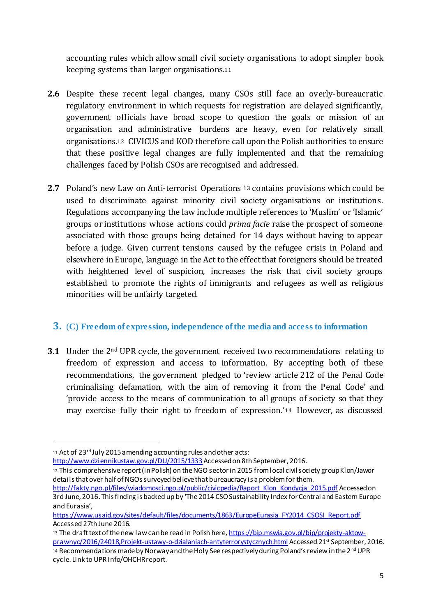accounting rules which allow small civil society organisations to adopt simpler book keeping systems than larger organisations.<sup>11</sup>

- **2.6** Despite these recent legal changes, many CSOs still face an overly-bureaucratic regulatory environment in which requests for registration are delayed significantly, government officials have broad scope to question the goals or mission of an organisation and administrative burdens are heavy, even for relatively small organisations.<sup>12</sup> CIVICUS and KOD therefore call upon the Polish authorities to ensure that these positive legal changes are fully implemented and that the remaining challenges faced by Polish CSOs are recognised and addressed.
- **2.7** Poland's new Law on Anti-terrorist Operations <sup>13</sup> contains provisions which could be used to discriminate against minority civil society organisations or institutions. Regulations accompanying the law include multiple references to 'Muslim' or 'Islamic' groups or institutions whose actions could *prima facie* raise the prospect of someone associated with those groups being detained for 14 days without having to appear before a judge. Given current tensions caused by the refugee crisis in Poland and elsewhere in Europe, language in the Act to the effect that foreigners should be treated with heightened level of suspicion, increases the risk that civil society groups established to promote the rights of immigrants and refugees as well as religious minorities will be unfairly targeted.

#### **3.** (**C) Freedom of expression, independence of the media and access to information**

**3.1** Under the 2<sup>nd</sup> UPR cycle, the government received two recommendations relating to freedom of expression and access to information. By accepting both of these recommendations, the government pledged to 'review article 212 of the Penal Code criminalising defamation, with the aim of removing it from the Penal Code' and 'provide access to the means of communication to all groups of society so that they may exercise fully their right to freedom of expression.'<sup>14</sup> However, as discussed

 $\overline{a}$ 

http://www.dziennikustaw.gov.pl/DU/2015/1333Accessed on 8th September, 2016.

<sup>12</sup> This comprehensive report (in Polish) on the NGO sector in 2015 from local civil society group Klon/Jawor details that over half of NGOs surveyed believe that bureaucracy is a problem for them.

<sup>11</sup> Act of 23<sup>rd</sup> July 2015 amending accounting rules and other acts:

http://fakty.ngo.pl/files/wiadomosci.ngo.pl/public/civicpedia/Raport\_Klon\_Kondycja\_2015.pdf Accessed on 3rd June, 2016. This finding is backed up by 'The 2014 CSO Sustainability Index for Central and Eastern Europe and Eurasia',

https://www.usaid.gov/sites/default/files/documents/1863/EuropeEurasia\_FY2014\_CSOSI\_Report.pdf Accessed 27th June 2016.

<sup>13</sup> The draft text of the new law can be read in Polish here, https://bip.mswia.gov.pl/bip/projekty-aktowprawnyc/2016/24018,Projekt-ustawy-o-dzialaniach-antyterrorystycznych.html Accessed 21st September, 2016. 14 Recommendations made by Norway and the Holy See respectively during Poland's review in the 2<sup>nd</sup> UPR cycle. Link to UPR Info/OHCHR report.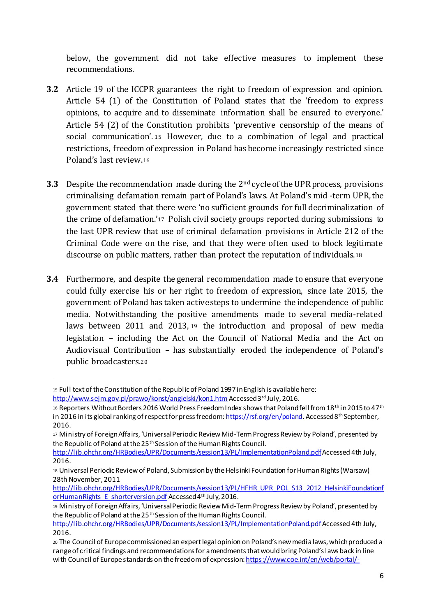below, the government did not take effective measures to implement these recommendations.

- **3.2** Article 19 of the ICCPR guarantees the right to freedom of expression and opinion. Article 54 (1) of the Constitution of Poland states that the 'freedom to express opinions, to acquire and to disseminate information shall be ensured to everyone.' Article 54 (2) of the Constitution prohibits 'preventive censorship of the means of social communication'. <sup>15</sup> However, due to a combination of legal and practical restrictions, freedom of expression in Poland has become increasingly restricted since Poland's last review.<sup>16</sup>
- **3.3** Despite the recommendation made during the 2nd cycle of the UPR process, provisions criminalising defamation remain part of Poland's laws. At Poland's mid -term UPR, the government stated that there were 'no sufficient grounds for full decriminalization of the crime of defamation.'<sup>17</sup> Polish civil society groups reported during submissions to the last UPR review that use of criminal defamation provisions in Article 212 of the Criminal Code were on the rise, and that they were often used to block legitimate discourse on public matters, rather than protect the reputation of individuals.<sup>18</sup>
- **3.4** Furthermore, and despite the general recommendation made to ensure that everyone could fully exercise his or her right to freedom of expression, since late 2015, the government of Poland has taken active steps to undermine the independence of public media. Notwithstanding the positive amendments made to several media-related laws between 2011 and 2013, <sup>19</sup> the introduction and proposal of new media legislation – including the Act on the Council of National Media and the Act on Audiovisual Contribution – has substantially eroded the independence of Poland's public broadcasters.<sup>20</sup>

<sup>15</sup> Full text of the Constitution of the Republic of Poland 1997 in English is available here: http://www.sejm.gov.pl/prawo/konst/angielski/kon1.htm Accessed 3rd July, 2016.

<sup>16</sup> Reporters Without Borders 2016 World Press Freedom Index shows that Poland fell from 18<sup>th</sup> in 2015 to 47<sup>th</sup> in 2016 in its global ranking of respect for press freedom: https://rsf.org/en/poland. Accessed 8th September, 2016.

<sup>17</sup> Ministry of Foreign Affairs, 'Universal Periodic Review Mid-Term Progress Review by Poland', presented by the Republic of Poland at the 25<sup>th</sup> Session of the Human Rights Council.

http://lib.ohchr.org/HRBodies/UPR/Documents/session13/PL/ImplementationPoland.pdfAccessed 4th July, 2016.

<sup>18</sup> Universal Periodic Review of Poland, Submission by the Helsinki Foundation for Human Rights (Warsaw) 28th November, 2011

http://lib.ohchr.org/HRBodies/UPR/Documents/session13/PL/HFHR\_UPR\_POL\_S13\_2012\_HelsinkiFoundationf orHumanRights E\_shorterversion.pdf Accessed 4<sup>th</sup> July, 2016.

<sup>19</sup> Ministry of Foreign Affairs, 'Universal Periodic Review Mid-Term Progress Review by Poland', presented by the Republic of Poland at the 25<sup>th</sup> Session of the Human Rights Council.

http://lib.ohchr.org/HRBodies/UPR/Documents/session13/PL/ImplementationPoland.pdf Accessed 4th July, 2016.

<sup>20</sup> The Council of Europe commissioned an expert legal opinion on Poland's new media laws, which produced a range of critical findings and recommendations for amendments that would bring Poland's laws back in line with Council of Europe standards on the freedom of expression: https://www.coe.int/en/web/portal/-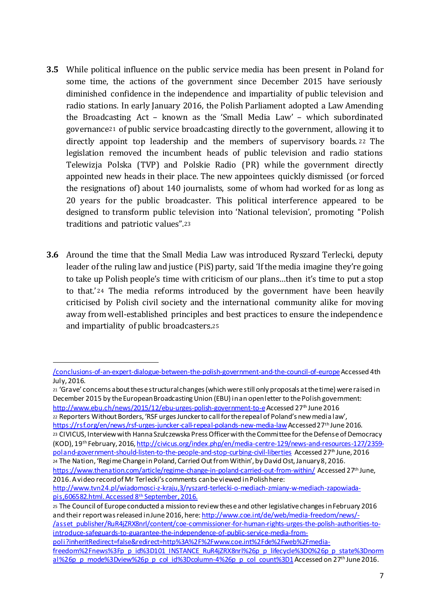- **3.5** While political influence on the public service media has been present in Poland for some time, the actions of the government since December 2015 have seriously diminished confidence in the independence and impartiality of public television and radio stations. In early January 2016, the Polish Parliament adopted a Law Amending the Broadcasting Act – known as the 'Small Media Law' – which subordinated governance<sup>21</sup> of public service broadcasting directly to the government, allowing it to directly appoint top leadership and the members of supervisory boards. <sup>22</sup> The legislation removed the incumbent heads of public television and radio stations Telewizja Polska (TVP) and Polskie Radio (PR) while the government directly appointed new heads in their place. The new appointees quickly dismissed (or forced the resignations of) about 140 journalists, some of whom had worked for as long as 20 years for the public broadcaster. This political interference appeared to be designed to transform public television into 'National television', promoting "Polish traditions and patriotic values".<sup>23</sup>
- **3.6** Around the time that the Small Media Law was introduced Ryszard Terlecki, deputy leader of the ruling law and justice (PiS) party, said 'If the media imagine they're going to take up Polish people's time with criticism of our plans…then it's time to put a stop to that.' <sup>24</sup> The media reforms introduced by the government have been heavily criticised by Polish civil society and the international community alike for moving away from well-established principles and best practices to ensure the independence and impartiality of public broadcasters.<sup>25</sup>

<sup>22</sup> Reporters Without Borders, 'RSF urges Juncker to call for the repeal of Poland's new media law', https://rsf.org/en/news/rsf-urges-juncker-call-repeal-polands-new-media-law Accessed 27th June 2016.

 $\overline{a}$ 

<sup>23</sup> CIVICUS, Interview with Hanna Szulczewska Press Officer with the Committee for the Defense of Democracy (KOD), 19th February, 2016, http://civicus.org/index.php/en/media-centre-129/news-and-resources-127/2359 poland-government-should-listen-to-the-people-and-stop-curbing-civil-liberties Accessed 27<sup>th</sup> June, 2016 <sup>24</sup> The Nation, 'RegimeChange in Poland, Carried Out from Within', by David Ost, January 8, 2016.

<sup>25</sup> The Council of Europe conducted a mission to review these and other legislative changes in February 2016 and their report was released in June 2016, here: http://www.coe.int/de/web/media-freedom/news/- /asset\_publisher/RuR4jZRX8nrl/content/coe-commissioner-for-human-rights-urges-the-polish-authorities-tointroduce-safeguards-to-guarantee-the-independence-of-public-service-media-frompoli?inheritRedirect=false&redirect=http%3A%2F%2Fwww.coe.int%2Fde%2Fweb%2Fmedia-

<sup>/</sup>conclusions-of-an-expert-dialogue-between-the-polish-government-and-the-council-of-europeAccessed 4th July, 2016.

<sup>21</sup> 'Grave' concerns about these structural changes (which were still only proposals at the time) were raised in December 2015 by the European Broadcasting Union (EBU) in an open letter to the Polish government: http://www.ebu.ch/news/2015/12/ebu-urges-polish-government-to-e Accessed 27<sup>th</sup> June 2016

https://www.thenation.com/article/regime-change-in-poland-carried-out-from-within/ Accessed 27th June, 2016. A video record of Mr Terlecki's comments can be viewed in Polish here:

http://www.tvn24.pl/wiadomosci-z-kraju,3/ryszard-terlecki-o-mediach-zmiany-w-mediach-zapowiadapis,606582.html. Accessed 8th September, 2016.

freedom%2Fnews%3Fp\_p\_id%3D101\_INSTANCE\_RuR4jZRX8nrl%26p\_p\_lifecycle%3D0%26p\_p\_state%3Dnorm al%26p\_p\_mode%3Dview%26p\_p\_col\_id%3Dcolumn-4%26p\_p\_col\_count%3D1 Accessed on 27<sup>th</sup> June 2016.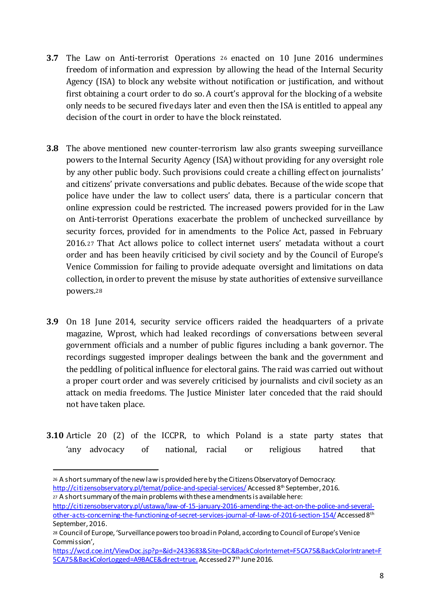- **3.7** The Law on Anti-terrorist Operations <sup>26</sup> enacted on 10 June 2016 undermines freedom of information and expression by allowing the head of the Internal Security Agency (ISA) to block any website without notification or justification, and without first obtaining a court order to do so. A court's approval for the blocking of a website only needs to be secured five days later and even then the ISA is entitled to appeal any decision of the court in order to have the block reinstated.
- **3.8** The above mentioned new counter-terrorism law also grants sweeping surveillance powers to the Internal Security Agency (ISA) without providing for any oversight role by any other public body. Such provisions could create a chilling effect on journalists' and citizens' private conversations and public debates. Because of the wide scope that police have under the law to collect users' data, there is a particular concern that online expression could be restricted. The increased powers provided for in the Law on Anti-terrorist Operations exacerbate the problem of unchecked surveillance by security forces, provided for in amendments to the Police Act, passed in February 2016.<sup>27</sup> That Act allows police to collect internet users' metadata without a court order and has been heavily criticised by civil society and by the Council of Europe's Venice Commission for failing to provide adequate oversight and limitations on data collection, in order to prevent the misuse by state authorities of extensive surveillance powers.<sup>28</sup>
- **3.9** On 18 June 2014, security service officers raided the headquarters of a private magazine, Wprost, which had leaked recordings of conversations between several government officials and a number of public figures including a bank governor. The recordings suggested improper dealings between the bank and the government and the peddling of political influence for electoral gains. The raid was carried out without a proper court order and was severely criticised by journalists and civil society as an attack on media freedoms. The Justice Minister later conceded that the raid should not have taken place.
- **3.10** Article 20 (2) of the ICCPR, to which Poland is a state party states that 'any advocacy of national, racial or religious hatred that

<sup>26</sup> A short summary of the new law is provided here by the Citizens Observatory of Democracy: http://citizensobservatory.pl/temat/police-and-special-services/ Accessed 8<sup>th</sup> September, 2016. <sup>27</sup> A short summary of the main problems with these amendments is available here:

http://citizensobservatory.pl/ustawa/law-of-15-january-2016-amending-the-act-on-the-police-and-severalother-acts-concerning-the-functioning-of-secret-services-journal-of-laws-of-2016-section-154/ Accessed 8th September, 2016.

<sup>28</sup> Council of Europe, 'Surveillance powers too broad in Poland, according to Council of Europe's Venice Commission',

https://wcd.coe.int/ViewDoc.jsp?p=&id=2433683&Site=DC&BackColorInternet=F5CA75&BackColorIntranet=F 5CA75&BackColorLogged=A9BACE&direct=true.Accessed 27<sup>th</sup> June 2016.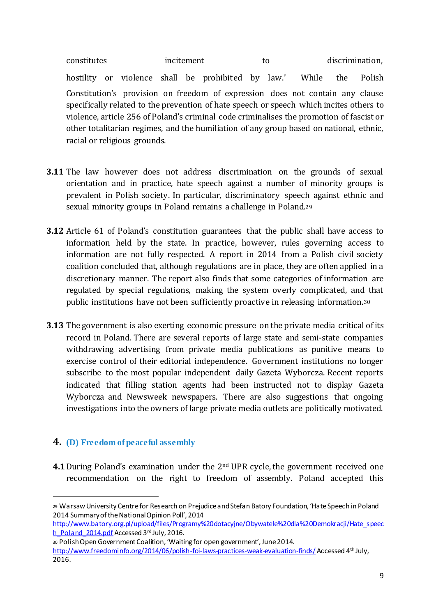constitutes incitement to to discrimination, hostility or violence shall be prohibited by law.' While the Polish Constitution's provision on freedom of expression does not contain any clause specifically related to the prevention of hate speech or speech which incites others to violence, article 256 of Poland's criminal code criminalises the promotion of fascist or other totalitarian regimes, and the humiliation of any group based on national, ethnic, racial or religious grounds.

- **3.11** The law however does not address discrimination on the grounds of sexual orientation and in practice, hate speech against a number of minority groups is prevalent in Polish society. In particular, discriminatory speech against ethnic and sexual minority groups in Poland remains a challenge in Poland.<sup>29</sup>
- **3.12** Article 61 of Poland's constitution guarantees that the public shall have access to information held by the state. In practice, however, rules governing access to information are not fully respected. A report in 2014 from a Polish civil society coalition concluded that, although regulations are in place, they are often applied in a discretionary manner. The report also finds that some categories of information are regulated by special regulations, making the system overly complicated, and that public institutions have not been sufficiently proactive in releasing information.<sup>30</sup>
- **3.13** The government is also exerting economic pressure on the private media critical of its record in Poland. There are several reports of large state and semi-state companies withdrawing advertising from private media publications as punitive means to exercise control of their editorial independence. Government institutions no longer subscribe to the most popular independent daily Gazeta Wyborcza. Recent reports indicated that filling station agents had been instructed not to display Gazeta Wyborcza and Newsweek newspapers. There are also suggestions that ongoing investigations into the owners of large private media outlets are politically motivated.

#### **4. (D) Freedom of peaceful assembly**

 $\overline{a}$ 

**4.1** During Poland's examination under the 2<sup>nd</sup> UPR cycle, the government received one recommendation on the right to freedom of assembly. Poland accepted this

<sup>29</sup> Warsaw University Centre for Research on Prejudice and Stefan Batory Foundation, 'Hate Speech in Poland 2014 Summary of the National Opinion Poll', 2014

http://www.batory.org.pl/upload/files/Programy%20dotacyjne/Obywatele%20dla%20Demokracji/Hate\_speec h\_Poland\_2014.pdf Accessed 3rd July, 2016.

<sup>30</sup> Polish Open Government Coalition, 'Waiting for open government', June 2014.

http://www.freedominfo.org/2014/06/polish-foi-laws-practices-weak-evaluation-finds/ Accessed 4th July, 2016.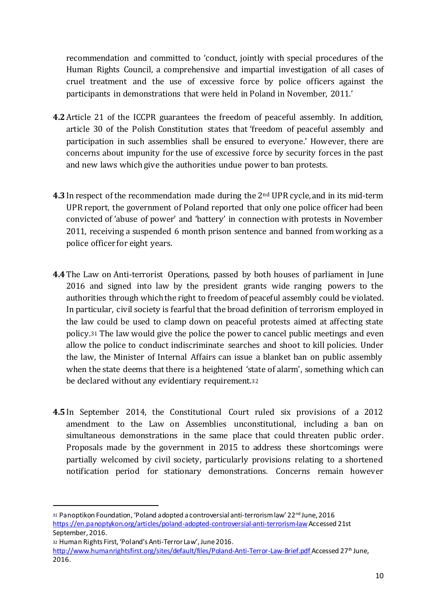recommendation and committed to 'conduct, jointly with special procedures of the Human Rights Council, a comprehensive and impartial investigation of all cases of cruel treatment and the use of excessive force by police officers against the participants in demonstrations that were held in Poland in November, 2011.'

- **4.2**Article 21 of the ICCPR guarantees the freedom of peaceful assembly. In addition, article 30 of the Polish Constitution states that 'freedom of peaceful assembly and participation in such assemblies shall be ensured to everyone.' However, there are concerns about impunity for the use of excessive force by security forces in the past and new laws which give the authorities undue power to ban protests.
- **4.3**In respect of the recommendation made during the 2nd UPR cycle, and in its mid-term UPR report, the government of Poland reported that only one police officer had been convicted of 'abuse of power' and 'battery' in connection with protests in November 2011, receiving a suspended 6 month prison sentence and banned from working as a police officer for eight years.
- **4.4**The Law on Anti-terrorist Operations, passed by both houses of parliament in June 2016 and signed into law by the president grants wide ranging powers to the authorities through which the right to freedom of peaceful assembly could be violated. In particular, civil society is fearful that the broad definition of terrorism employed in the law could be used to clamp down on peaceful protests aimed at affecting state policy.<sup>31</sup> The law would give the police the power to cancel public meetings and even allow the police to conduct indiscriminate searches and shoot to kill policies. Under the law, the Minister of Internal Affairs can issue a blanket ban on public assembly when the state deems that there is a heightened 'state of alarm', something which can be declared without any evidentiary requirement.<sup>32</sup>
- **4.5**In September 2014, the Constitutional Court ruled six provisions of a 2012 amendment to the Law on Assemblies unconstitutional, including a ban on simultaneous demonstrations in the same place that could threaten public order. Proposals made by the government in 2015 to address these shortcomings were partially welcomed by civil society, particularly provisions relating to a shortened notification period for stationary demonstrations. Concerns remain however

<sup>31</sup> Panoptikon Foundation, 'Poland adopted a controversial anti-terrorism law' 22<sup>nd</sup> June, 2016 https://en.panoptykon.org/articles/poland-adopted-controversial-anti-terrorism-law Accessed 21st September, 2016.

<sup>32</sup> Human Rights First, 'Poland's Anti-Terror Law', June 2016.

http://www.humanrightsfirst.org/sites/default/files/Poland-Anti-Terror-Law-Brief.pdf Accessed 27<sup>th</sup> June, 2016.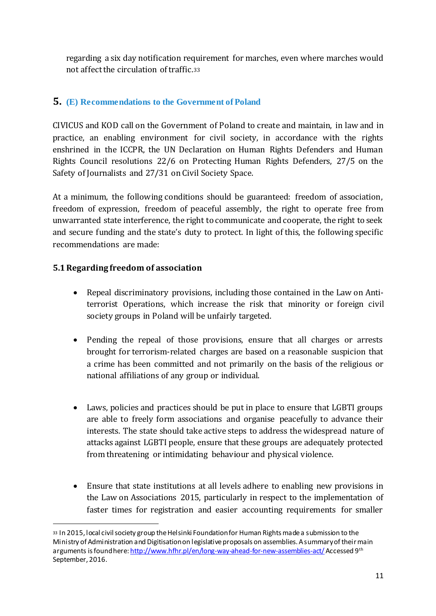regarding a six day notification requirement for marches, even where marches would not affect the circulation of traffic.<sup>33</sup>

## **5. (E) Recommendations to the Government of Poland**

CIVICUS and KOD call on the Government of Poland to create and maintain, in law and in practice, an enabling environment for civil society, in accordance with the rights enshrined in the ICCPR, the UN Declaration on Human Rights Defenders and Human Rights Council resolutions 22/6 on Protecting Human Rights Defenders, 27/5 on the Safety of Journalists and 27/31 on Civil Society Space.

At a minimum, the following conditions should be guaranteed: freedom of association, freedom of expression, freedom of peaceful assembly, the right to operate free from unwarranted state interference, the right to communicate and cooperate, the right to seek and secure funding and the state's duty to protect. In light of this, the following specific recommendations are made:

#### **5.1Regarding freedom of association**

- Repeal discriminatory provisions, including those contained in the Law on Antiterrorist Operations, which increase the risk that minority or foreign civil society groups in Poland will be unfairly targeted.
- Pending the repeal of those provisions, ensure that all charges or arrests brought for terrorism-related charges are based on a reasonable suspicion that a crime has been committed and not primarily on the basis of the religious or national affiliations of any group or individual.
- Laws, policies and practices should be put in place to ensure that LGBTI groups are able to freely form associations and organise peacefully to advance their interests. The state should take active steps to address the widespread nature of attacks against LGBTI people, ensure that these groups are adequately protected from threatening or intimidating behaviour and physical violence.
- Ensure that state institutions at all levels adhere to enabling new provisions in the Law on Associations 2015, particularly in respect to the implementation of faster times for registration and easier accounting requirements for smaller

<sup>33</sup> In 2015, local civil society group the Helsinki Foundation for Human Rights made a submission to the Ministry of Administration and Digitisation on legislative proposals on assemblies. A summary of their main arguments is found here: http://www.hfhr.pl/en/long-way-ahead-for-new-assemblies-act/ Accessed 9th September, 2016.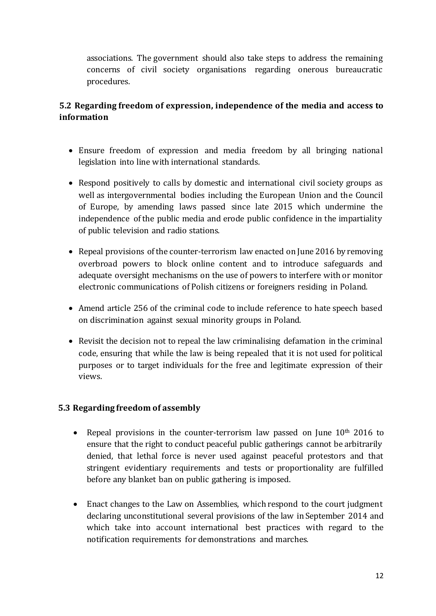associations. The government should also take steps to address the remaining concerns of civil society organisations regarding onerous bureaucratic procedures.

## **5.2 Regarding freedom of expression, independence of the media and access to information**

- Ensure freedom of expression and media freedom by all bringing national legislation into line with international standards.
- Respond positively to calls by domestic and international civil society groups as well as intergovernmental bodies including the European Union and the Council of Europe, by amending laws passed since late 2015 which undermine the independence of the public media and erode public confidence in the impartiality of public television and radio stations.
- Repeal provisions of the counter-terrorism law enacted on June 2016 by removing overbroad powers to block online content and to introduce safeguards and adequate oversight mechanisms on the use of powers to interfere with or monitor electronic communications of Polish citizens or foreigners residing in Poland.
- Amend article 256 of the criminal code to include reference to hate speech based on discrimination against sexual minority groups in Poland.
- Revisit the decision not to repeal the law criminalising defamation in the criminal code, ensuring that while the law is being repealed that it is not used for political purposes or to target individuals for the free and legitimate expression of their views.

#### **5.3 Regarding freedom of assembly**

- Repeal provisions in the counter-terrorism law passed on June  $10<sup>th</sup>$  2016 to ensure that the right to conduct peaceful public gatherings cannot be arbitrarily denied, that lethal force is never used against peaceful protestors and that stringent evidentiary requirements and tests or proportionality are fulfilled before any blanket ban on public gathering is imposed.
- Enact changes to the Law on Assemblies, which respond to the court judgment declaring unconstitutional several provisions of the law in September 2014 and which take into account international best practices with regard to the notification requirements for demonstrations and marches.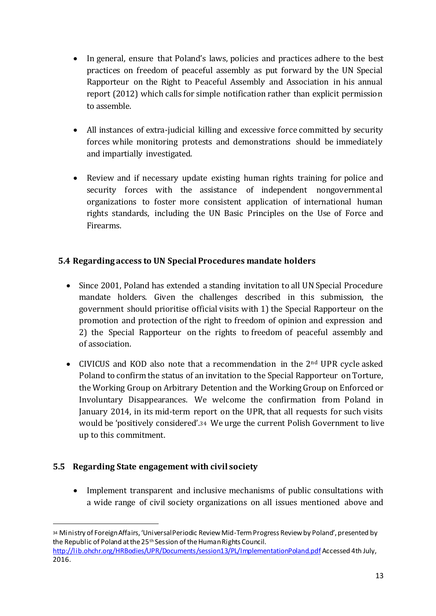- In general, ensure that Poland's laws, policies and practices adhere to the best practices on freedom of peaceful assembly as put forward by the UN Special Rapporteur on the Right to Peaceful Assembly and Association in his annual report (2012) which calls for simple notification rather than explicit permission to assemble.
- All instances of extra-judicial killing and excessive force committed by security forces while monitoring protests and demonstrations should be immediately and impartially investigated.
- Review and if necessary update existing human rights training for police and security forces with the assistance of independent nongovernmental organizations to foster more consistent application of international human rights standards, including the UN Basic Principles on the Use of Force and Firearms.

## **5.4 Regarding access to UN Special Procedures mandate holders**

- Since 2001, Poland has extended a standing invitation to all UN Special Procedure mandate holders. Given the challenges described in this submission, the government should prioritise official visits with 1) the Special Rapporteur on the promotion and protection of the right to freedom of opinion and expression and 2) the Special Rapporteur on the rights to freedom of peaceful assembly and of association.
- CIVICUS and KOD also note that a recommendation in the 2<sup>nd</sup> UPR cycle asked Poland to confirm the status of an invitation to the Special Rapporteur on Torture, the Working Group on Arbitrary Detention and the Working Group on Enforced or Involuntary Disappearances. We welcome the confirmation from Poland in January 2014, in its mid-term report on the UPR, that all requests for such visits would be 'positively considered'.<sup>34</sup> We urge the current Polish Government to live up to this commitment.

#### **5.5 Regarding State engagement with civil society**

 $\overline{a}$ 

• Implement transparent and inclusive mechanisms of public consultations with a wide range of civil society organizations on all issues mentioned above and

<sup>34</sup> Ministry of Foreign Affairs, 'Universal Periodic Review Mid-Term Progress Review by Poland', presented by the Republic of Poland at the 25<sup>th</sup> Session of the Human Rights Council.

http://lib.ohchr.org/HRBodies/UPR/Documents/session13/PL/ImplementationPoland.pdf Accessed 4th July, 2016.